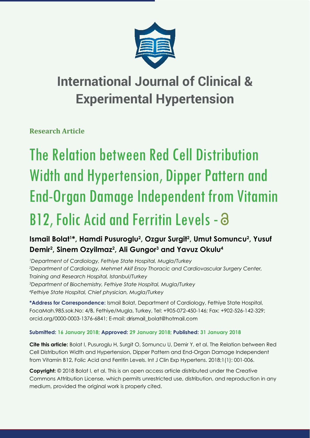

## **International Journal of Clinical & Experimental Hypertension**

**Research Article**

# The Relation between Red Cell Distribution Width and Hypertension, Dipper Pattern and End-Organ Damage Independent from Vitamin B12, Folic Acid and Ferritin Levels - a

## Ismail Bolat<sup>1\*</sup>, Hamdi Pusuroglu<sup>2</sup>, Ozgur Surgit<sup>2</sup>, Umut Somuncu<sup>2</sup>, Yusuf **Demir2 , Sinem Ozyilmaz2 , Ali Gungor3 and Yavuz Okulu4**

 *Department of Cardiology, Fethiye State Hospital, Mugla/Turkey Department of Cardiology, Mehmet Akif Ersoy Thoracic and Cardiovascular Surgery Center, Training and Research Hospital, Istanbul/Turkey Department of Biochemistry, Fethiye State Hospital, Mugla/Turkey Fethiye State Hospital, Chief physician, Mugla/Turkey*

**\*Address for Correspondence:** Ismail Bolat, Department of Cardiology, Fethiye State Hospital, FocaMah.985.sok.No: 4/B, Fethiye/Mugla, Turkey, Tel: +905-072-450-146; Fax: +902-526-142-329; orcid.org/0000-0003-1376-6841; E-mail: drismail bolat@hotmail.com

### **Submitted: 16 January 2018; Approved: 29 January 2018; Published: 31 January 2018**

**Cite this article:** Bolat I, Pusuroglu H, Surgit O, Somuncu U, Demir Y, et al. The Relation between Red Cell Distribution Width and Hypertension, Dipper Pattern and End-Organ Damage Independent from Vitamin B12, Folic Acid and Ferritin Levels. Int J Clin Exp Hypertens. 2018;1(1): 001-006.

**Copyright:** © 2018 Bolat I, et al. This is an open access article distributed under the Creative Commons Attribution License, which permits unrestricted use, distribution, and reproduction in any medium, provided the original work is properly cited.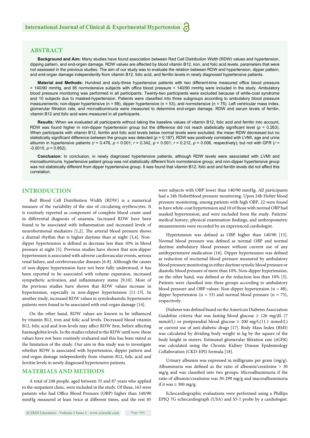#### **ABSTRACT**

**Background and Aim:** Many studies have found association between Red Cell Distribution Width (RDW) values and hypertension, dipping pattern, and end-organ damage. RDW values are affected by blood vitamin B12, iron, and folic acid levels, parameters that were not assessed in the previous studies. The aim of our study was to evaluate the relation between RDW and hypertension, dipper pattern, and end-organ damage independently from vitamin B12, folic acid, and ferritin levels in newly diagnosed hypertensive patients.

Material and Methods: Hundred and sixty-three hypertensive patients with two different-time measured office blood pressure > 140/90 mmHg, and 85 normotensive subjects with office blood pressure < 140/90 mmHg were included in the study. Ambulatory blood pressure monitoring was performed in all participants. Twenty-two participants were excluded because of white-coat syndrome and 10 subjects due to masked-hypertension. Patients were classified into three subgroups according to ambulatory blood pressure measurements; non-dipper hypertensive ( $n = 88$ ), dipper hypertensive ( $n = 53$ ), and normotensive ( $n = 75$ ). Left ventricular mass index, glomerular filtration rate, and microalbuminuria were measured to determine end-organ damage. RDW and serum levels of ferritin, vitamin B12 and folic acid were measured in all participants.

**Results:** When we evaluated all participants without taking the baseline values of vitamin B12, folic acid and ferritin into account, RDW was found higher in non-dipper hypertension group but the difference did not reach statistically significant level ( $p = 0.263$ ). When participants with vitamin B12, ferritin and folic acid levels below normal levels were excluded, the mean RDW decreased but no statistically significant difference between the groups was detected (p = 0.187). RDW was positively correlated with LVMI, age and urine albumin in hypertensive patients (*r* = 0.476, *p* < 0.001; *r* = 0.342, *p* < 0.001; *r* = 0.212, *p* = 0.006, respectively); but not with GFR (*r* =  $-0.0015$ ,  $p = 0.852$ ).

**Conclusion:** In conclusion, in newly diagnosed hypertensive patients, although RDW levels were associated with LVMI and microalbuminuria, hypertensive patient group was not statistically different from normotensive group; and non-dipper hypertensive group was not statistically different from dipper hypertensive group. It was found that vitamin B12, folic acid and ferritin levels did not affect this correlation.

#### **INTRODUCTION**

Red Blood Cell Distribution Width (RDW) is a numerical measure of the variability of the size of circulating erythrocytes. It is routinely reported as component of complete blood count used in differential diagnosis of anaemia. Increased RDW have been found to be associated with inflammation and increased levels of neurohormonal mediators [1,2]. The arterial blood pressure shows a diurnal rhythm that is higher daytime than at night [3,4]. Nondipper hypertension is defined as decrease less than 10% in blood pressure at night [5]. Previous studies have shown that non-dipper hypertension is associated with adverse cardiovascular events, serious renal failure, and cerebrovascular diseases [6-8]. Although the causes of non-dipper hypertension have not been fully understood, it has been reported to be associated with volume expansion, increased sympathetic activation, and inflammatory status [9,10]. Most of the previous studies have shown that RDW values increase in hypertension, especially in non-dipper hypertension [11-13]. In another study, increased RDW values in systolodiastolic hypertensive patients were found to be associated with end-organ damage [14].

On the other hand, RDW values are known to be influenced by vitamin B12, iron and folic acid levels. Decreased blood vitamin B12, folic acid and iron levels may affect RDW first, before affecting haemoglobin levels. In the studies related to the RDW until now, those values have not been routinely evaluated and this has been stated as the limitation of the study. Our aim in this study was to investigate whether RDW is associated with hypertension, dipper pattern and end-organ damage independently from vitamin B12, folic acid and ferritin levels in newly diagnosed hypertensive patients.

#### **MATERIALS AND METHODS**

A total of 248 people, aged between 35 and 87 years who applied to the outpatient clinic, were included in the study. Of these, 163 were patients who had Office Blood Pressure (OBP) higher than 140/90 mmHg measured at least twice at different times, and the rest 85

were subjects with OBP lower than 140/90 mmHg. All participants had a 24h Holterblood pressure monitoring. Upon 24h Holter blood pressure monitoring, among patients with high OBP, 22 were found to have white-coat hypertension and 10 of those with normal OBP had masked hypertension; and were excluded from the study. Patients' medical history, physical examination findings, and anthropometric measurements were recorded by an experienced cardiologist.

Hypertension was defined as OBP higher than 140/90 [15]. Normal blood pressure was defined as normal OBP and normal daytime ambulatory blood pressure without current use of any antihypertensive medication [16]. Dipper hypertension was defined as reduction of nocturnal blood pressure measured by ambulatory blood pressure monitoring in either daytime systolic blood pressure or diastolic blood pressure of more than 10%. Non-dipper hypertension, on the other hand, was defined as the reduction less than 10% [5]. Patients were classified into three groups according to ambulatory blood pressure and OBP values: Non-dipper hypertension  $(n = 88)$ , dipper hypertension ( $n = 53$ ) and normal blood pressure ( $n = 75$ ), respectively.

Diabetes was defined based on the American Diabetes Association Guideline criteria that was fasting blood glucose  $\geq 126$  mg/dL (7) mmol/L) or postprandial blood glucose  $\geq 200$  mg/L(11.1 mmol/L) or current use of anti-diabetic drugs [17]. Body Mass Index (BMI) was calculated by dividing body weight in kg by the square of the body height in meters. Estimated glomerular filtration rate (eGFR) was calculated using the Chronic Kidney Disease Epidemiology Collaboration (CKD-EPI) formula [18].

Urinary albumin was expressed in milligrams per gram (mg/g). Albuminuria was defined as the ratio of albumin/creatinine  $> 30$  $mg/g$  and was classified into two groups: Microalbuminuria if the ratio of albumin/creatinine was 30-299 mg/g and macroalbuminuria if it was  $\geq 300$  mg/g.

Echocardiographic evaluations were performed using a Phillips EPIQ 7G echocardiograph (USA) and S5-1 probe by a cardiologist.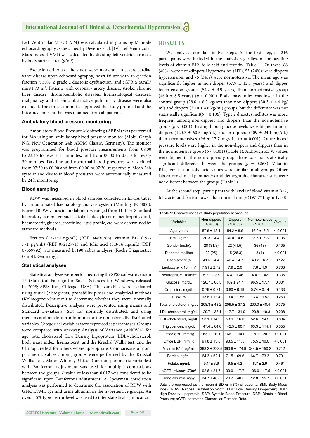Left Ventricular Mass (LVM) was calculated in grams by M-mode echocardiography as described by Deverux et al. [19]. Left Ventricular Mass Index (LVMI) was calculated by dividing left ventricular mass by body surface area (g/m<sup>2</sup>).

Exclusion criteria of the study were; moderate-to-severe cardiac valve disease upon echocardiography, heart failure with an ejection fraction < 50%,  $\ge$  grade 2 diastolic dysfunction, and eGFR  $\le$  60mL/ min/1.73 m<sup>2</sup>. Patients with coronary artery disease, stroke, chronic liver disease, thromboembolic diseases, haematological diseases, malignancy and chronic obstructive pulmonary disease were also excluded. The ethics committee approved the study protocol and the informed consent that was obtained from all patients.

#### **Ambulatory blood pressure monitoring**

Ambulatory Blood Pressure Monitoring (ABPM) was performed for 24h using an ambulatory blood pressure monitor (Mobil Graph NG, New Generation 24h ABPM Classic, Germany). The monitor was programmed for blood pressure measurements from 08:00 to 23:45 for every 15 minutes, and from 00:00 to 07:30 for every 30 minutes. Daytime and nocturnal blood pressures were defined from 07:30 to 00:00 and from 00:00 to 07:30, respectively. Mean 24h systolic and diastolic blood pressures were automatically measured by 24 h monitoring.

#### **Blood sampling**

RDW was measured in blood samples collected in EDTA tubes by an automated haematology analysis system (Mindray BC5800). Normal RDW values in our laboratory ranged from 11-14%. Standard laboratory parameters such as total leukocyte count, neutrophil count, haematocrit, glucose, creatinine, lipid profile, etc. were determined by standard methods.

Ferritin (13-150 ng/mL) (REF 04491785), vitamin B12 (197- 771 pg/mL) (REF 07212771) and folic acid (3.8-16 ng/mL) (REF 07559992) was measured by190 cobas analyser (Roche Diagnostics GmbH, Germany).

#### **Statistical analyses**

Statistical analyses were performed using the SPSS software version 17 (Statistical Package for Social Sciences for Windows, released in 2008; SPSS Inc., Chicago, USA). The variables were evaluated using visual (histograms, probability plots) and analytical methods (Kolmogorov-Smirnov) to determine whether they were normally distributed. Descriptive analyses were presented using means and Standard Deviations (SD) for normally distributed; and using medians and maximum-minimum for the non-normally distributed variables. Categorical variables were expressed as percentages. Groups were compared with one-way Analysis of Variance (ANOVA) for age, total cholesterol, Low Density Lipoprotein (LDL)-cholesterol, body mass index, haematocrit; and the Kruskal-Wallis test, and the Chi-Square test for others where appropriate. Comparisons of nonparametric values among groups were performed by the Kruskal Wallis test. Mann-Whitney U-test (for non-parametric variables) with Bonferroni adjustment was used for multiple comparisons between the groups. *P* value of less than 0.017 was considered to be significant upon Bonferroni adjustment. A Spearman correlation analysis was performed to determine the association of RDW with GFR, LVMI, age and urine albumin in the hypertensive groups. An overall 5% type-I error level was used to infer statistical significance.

#### **RESULTS**

We analysed our data in two steps. At the first step, all 216 participants were included in the analysis regardless of the baseline levels of vitamin B12, folic acid and ferritin (Table 1). Of these, 88 (40%) were non-dippers Hypertension (HT), 53 (24%) were dippers hypertension, and 75 (34%) were normotensive. The mean age was significantly higher in non-dipper (57.9  $\pm$  12.1 years) and dipper hypertension groups (54.2  $\pm$  9.9 years) than normotensive group (46.0  $\pm$  8.5 years) ( $p < 0.001$ ). Body mass index was lower in the control group (28.6  $\pm$  6.3 kg/m<sup>2</sup>) than non-dippers (30.3  $\pm$  4.4 kg/  $m<sup>2</sup>$ ) and dippers (30.0  $\pm$  4.6 kg/m<sup>2</sup>) groups, but the difference was not statistically significant( $p = 0.106$ ). Type 2 diabetes mellitus was more frequent among non-dippers and dippers than the normotensive group (*p* < 0.001). Fasting blood glucose levels were higher in nondippers (120.7  $\pm$  60.5 mg/dL) and in dippers (109  $\pm$  24.1 mg/dL) than normotensives (96  $\pm$  17.7 mg/dL) (p = 0.001). Office blood pressure levels were higher in the non-dippers and dippers than in the normotensive group (*p* < 0.001) (Table 1). Although RDW values were higher in the non-dippers group, there was not statistically significant difference between the groups ( $p = 0.263$ ). Vitamin B12, ferritin and folic acid values were similar in all groups. Other laboratory clinical parameters and demographic characteristics were not different between the groups (Table 1).

At the second step, participants with levels of blood vitamin B12, folic acid and ferritin lower than normal range (197-771 pg/mL, 3.8-

| Table 1: Characteristics of study population at baseline.                     |                           |                              |                             |            |  |  |  |
|-------------------------------------------------------------------------------|---------------------------|------------------------------|-----------------------------|------------|--|--|--|
| Variables                                                                     | Non-dippers<br>$(N = 88)$ | <b>Dippers</b><br>$(N = 53)$ | Normotensives<br>$(N = 75)$ | $P$ -value |  |  |  |
| Age, years                                                                    | $57.9 \pm 12.1$           | $54.2 \pm 9.9$               | $46.0 \pm .8.5$             | < 0.001    |  |  |  |
| BMI, kg/m <sup>2</sup>                                                        | $30.3 \pm 4.4$            | $30.0 \pm 4.6$               | $28.6 \pm 0.3$              | 0.106      |  |  |  |
| Gender (male),                                                                | 28 (31.8)                 | 22 (41.5)                    | 36 (48)                     | 0.105      |  |  |  |
| Diabetes mellitus                                                             | 22(25)                    | 15(28.3)                     | 3(4)                        | < 0.001    |  |  |  |
| Haematocrit,%                                                                 | $41.5 \pm 4.4$            | $42.4 \pm 4.7$               | $43.2 \pm 6.7$              | 0.127      |  |  |  |
| Leukocyte, x 10/mm <sup>3</sup>                                               | $7.91 \pm 2.72$           | $7.9 \pm 2.0$                | $7.6 \pm 1.9$               | 0.703      |  |  |  |
| Neutrophil, x 10 <sup>3</sup> /mm <sup>3</sup>                                | $5.2 \pm 2.37$            | $4.4 \pm 1.46$               | $4.4 \pm 1.42$              | 0.335      |  |  |  |
| Glucose, mg/dL                                                                | $120.7 \pm 60.5$          | $109 \pm 24.1$               | $96.5 \pm 17.7$             | 0.001      |  |  |  |
| Creatinine, mg/dL                                                             | $0.79 \pm 0.24$           | $0.80 \pm 0.19$              | $0.74 \pm 0.14$             | 0.133      |  |  |  |
| RDW, %                                                                        | $13.8 \pm 1.94$           | $13.4 \pm 1.55$              | $13.4 \pm 1.52$             | 0.263      |  |  |  |
| Total-cholesterol ,mg/dL                                                      | $208.3 \pm 43.2$          | $209.5 \pm 37.2$             | $200.0 \pm 48.4$            | 0.375      |  |  |  |
| LDL-cholesterol, mg/dL                                                        | $129.7 \pm 38.1$          | $117.7 \pm 31.9$             | $120.8 \pm 40.3$            | 0.208      |  |  |  |
| HDL-cholesterol, mg/dL                                                        | $53.1 \pm 14.9$           | $53.9 \pm 16.0$              | $52.6 \pm 14.5$             | 0.884      |  |  |  |
| Triglycerides, mg/dL                                                          | $147.4 \pm 64.8$          | $142.5 \pm 80.7$             | $163.3 \pm 114.1$           | 0.355      |  |  |  |
| Office SBP, mmHq                                                              | $163.1 \pm 19.0$          | $166.7 \pm 14.0$             | $118.1 \pm 20.7$            | < 0.001    |  |  |  |
| Office DBP, mmHq                                                              | $91.8 \pm 13.0$           | $93.5 \pm 11.5$              | $75.5 \pm 10.0$             | < 0.001    |  |  |  |
| Vitamin B12, pg/mL                                                            | $368.2 \pm 223.5$         | $363.6 \pm 174.9$            | $344.5 \pm 150.2$           | 0.712      |  |  |  |
| Ferritin, ng/mL                                                               | $64.3 \pm 52.1$           | $71.5 \pm 69.6$              | $64.7 \pm 73.3$             | 0.791      |  |  |  |
| Folate, ng/mL                                                                 | $9.1 / \pm 3.6$           | $9.5 \pm 4.2$                | $8.7 \pm 2.9$               | 0.461      |  |  |  |
| eGFR, ml/sec/1.73m <sup>2</sup>                                               | $92.6 \pm 21.7$           | $93.0 \pm 17.7$              | $106.0 \pm 17.5$            | < 0.001    |  |  |  |
| Urine albumin, mg/g                                                           | $34.7 \pm 48.8$           | $29.7 \pm 40.5$              | $12.8 \pm 15.7$             | < 0.001    |  |  |  |
| Data are expressed as the mean $+$ SD or n $(\%)$ of patients $RML$ Rody Mass |                           |                              |                             |            |  |  |  |

Data are expressed as the mean  $\pm$  SD or n (%) of patients. BMI: Body Mass Index; RDW: Redcell Distribution Width; LDL: Low Density Lipoprotein; HDL High Density Lipoprotein; SBP: Systolic Blood Pressure; DBP: Diastolic Blood Pressure; eGFR: estimated Glomerular Filtration Rate.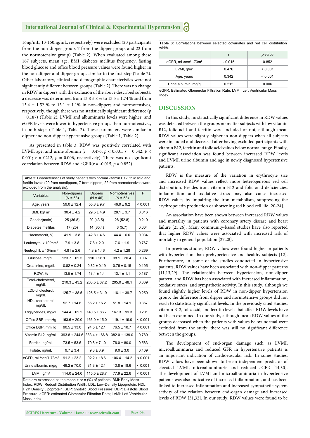#### **International Journal of Clinical & Experimental Hypertension**

16ng/mL, 13-150ng/mL, respectively) were excluded (20 participants from the non-dipper group, 7 from the dipper group, and 22 from the normotensive group) (Table 2). When evaluated among these 167 subjects, mean age, BMI, diabetes mellitus frequency, fasting blood glucose and office blood pressure values were found higher in the non-dipper and dipper groups similar to the first step (Table 2). Other laboratory, clinical and demographic characteristics were not significantly different between groups (Table 2). There was no change in RDW in dippers with the exclusion of the above described subjects, a decrease was determined from  $13.8\pm8$  % to  $13.5\pm1.74$  % and from 13.4  $\pm$  1.52 % to 13.1  $\pm$  1.1% in non-dippers and normotensives, respectively, though there was no statistically significant difference (*p* = 0.187) (Table 2). LVMI and albuminuria levels were higher, and eGFR levels were lower in hypertensive groups than normotensives, in both steps (Table 1, Table 2). These parameters were similar in dipper and non-dipper hypertensive groups (Table 1, Table 2).

As presented in table 3, RDW was positively correlated with LVMI, age, and urine albumin (*r* = 0.476, *p* < 0.001; *r* = 0.342, *p* < 0.001;  $r = 0.0212$ ,  $p = 0.006$ , respectively). There was no significant correlation between RDW and  $eGFR(r = -0.015, p = 0.852)$ .

**Table 2**: Characteristics of study patients with normal vitamin B12, folic acid and ferritin levels (20 from nondippers, 7 from dippers, 22 from normotensives were excluded from the analysis).

|  | Variables                                      | Non-dippers<br>$(N = 68)$ | <b>Dippers</b><br>$(N = 46)$ | Normotensives<br>$(N = 53)$ | P       |
|--|------------------------------------------------|---------------------------|------------------------------|-----------------------------|---------|
|  | Age, years                                     | $59.0 \pm 12.4$           | $55.8 \pm 9.7$               | $46.9 \pm 9.2$              | < 0.001 |
|  | BMI, kg/ m <sup>2</sup>                        | $30.4 \pm 4.2$            | $29.5 \pm 4.9$               | $28.1 \pm 3.7$              | 0.016   |
|  | Gender(male)                                   | 25 (36.8)                 | 20 (43.5)                    | 28 (52.8)                   | 0.210   |
|  | Diabetes mellitus                              | 17(25)                    | 14 (30.4)                    | 3(5.7)                      | 0.004   |
|  | Haematocrit, %                                 | $41.9 \pm 3.8$            | $42.8 \pm 4.6$               | $44.4 \pm 6.6$              | 0.034   |
|  | Leukocyte, x 10/mm <sup>3</sup>                | $7.9 \pm 3.8$             | $7.8 \pm 2.0$                | $7.6 \pm 1.9$               | 0.767   |
|  | Neutrophil, x 10 <sup>3</sup> /mm <sup>3</sup> | $4.81 \pm 2.6$            | $4.3 \pm 1.46$               | $4.2 \pm 1.28$              | 0.269   |
|  | Glucose, mg/dL                                 | $123.7 \pm 62.5$          | $110 \pm 26.1$               | $98.1 \pm 20.4$             | 0.007   |
|  | Creatinine, mg/dL                              | $0.82 \pm 0.24$           | $0.82 \pm 0.19$              | $0.76 \pm 0.15$             | 0.195   |
|  | RDW, %                                         | $13.5 \pm 1.74$           | $13.4 \pm 1.4$               | $13.1 \pm 1.1$              | 0.187   |
|  | Total-cholesterol,<br>mg/dL                    | $210.3 \pm 43.2$          | $203.5 \pm 37.2$             | $205.0 \pm 48.1$            | 0.669   |
|  | LDL-cholesterol.<br>mg/dL                      | $125.7 \pm 38.5$          | $125.5 \pm 31.9$             | $116.1 \pm 39.7$            | 0.250   |
|  | HDL-cholesterol,<br>mg/dL                      | $52.7 \pm 14.8$           | $56.2 \pm 16.2$              | $51.8 \pm 14.1$             | 0.367   |
|  | Triglycerides, mg/dL                           | $144.4 \pm 62.2$          | $140.5 \pm 86.7$             | $167.3 \pm 99.3$            | 0.201   |
|  | Office SBP, mmHg                               | 163.6 ± 20.0              | $166.0 \pm 15.0$             | $119.1 \pm 19.0$            | < 0.001 |
|  | Office DBP, mmHq                               | $90.5 \pm 13.0$           | $94.5 \pm 12.1$              | $76.5 \pm 10.7$             | < 0.001 |
|  | Vitamin B12, pg/mL                             | $393.8 \pm 244.6$         | $383.4 \pm 166.8$            | $382.0 \pm 139.0$           | 0.780   |
|  | Ferritin, ng/mL                                | $73.5 \pm 53.6$           | $79.8 \pm 71.0$              | $76.0 \pm 80.0$             | 0.583   |
|  | Folate, ng/mL                                  | $9.7 \pm 3.4$             | $9.8 \pm 3.9$                | $9.0 \pm 3.0$               | 0.409   |
|  | eGFR, mL/sec/1.73m <sup>2</sup>                | $91.2 \pm 23.2$           | $92.2 \pm 18.6$              | $106.4 \pm 14.2$            | < 0.001 |
|  | Urine albumin, mg/g                            | $49.2 \pm 70.0$           | $31.3 \pm 42.1$              | $13.8 \pm 18.6$             | < 0.001 |
|  | LVMI, $q/m2$                                   | $114.0 \pm 24.0$          | $115.5 \pm 28.7$             | $77.9 \pm 22.6$             | < 0.001 |
|  |                                                |                           |                              |                             |         |

Data are expressed as the mean ± or n (%) of patients. BMI: Body Mass Index; RDW: Redcell Distribution Width; LDL: Low-Density Lipoprotein; HDL: High Density Lipoprotein; SBP: Systolic Blood Pressure; DBP: Diastolic Blood Pressure; eGFR: estimated Glomerular Filtration Rate; LVMI: Left Ventricular Mass Index.

**Table 3:** Correlations between selected covariates and red cell distribution width. r *p*-value eGFR, mL/sec/1.73m<sup>2</sup> | - 0.015 | 0.852 LVMI, g/m² 0.476 < 0.001 Age, years 0.342 < 0.001 Urine albumin, mg/g  $\begin{array}{|c|c|c|c|c|} \hline 0.212 & 0.006 \hline \end{array}$ 

eGFR: Estimated Glomerular Filtration Rate; LVMI: Left Ventricular Mass Index.

#### **DISCUSSION**

In this study, no statistically significant difference in RDW values was detected between the groups no matter subjects with low vitamin B12, folic acid and ferritin were included or not; although mean RDW values were slightly higher in non-dippers when all subjects were included and decreased after having excluded participants with vitamin B12, ferritin and folic acid values below normal range. Finally, significant association was found between increased RDW levels and LVMI, urine albumin and age in newly diagnosed hypertensive patients.

RDW is the measure of the variation in erythrocyte size and increased RDW values reflect more heterogeneous red cell distribution. Besides iron, vitamin B12 and folic acid deficiencies, inflammation and oxidative stress may also cause increased RDW values by impairing the iron metabolism, suppressing the erythropoietin production or shortening red blood cell life [20-24].

An association have been shown between increased RDW values and mortality in patients with coronary artery disease and heart failure [25,26]. Many community-based studies have also reported that higher RDW values were associated with increased risk of mortality in general population [27,28].

In previous studies, RDW values were found higher in patients with hypertension than prehypertensive and healthy subjects [12]. Furthermore, in some of the studies conducted in hypertensive patients, RDW values have been associated with non-dipper patterns  $[11,13,29]$ . The relationship between hypertension, non-dipper pattern, and RDW has been associated with increased inflammation, oxidative stress, and sympathetic activity. In this study, although we found slightly higher levels of RDW in non-dipper hypertension group, the difference from dipper and normotensive groups did not reach to statistically significant levels. In the previously cited studies, vitamin B12, folic acid, and ferritin levels that affect RDW levels have not been examined. In our study, although mean RDW values of the groups decreased when the patients with values below normal were excluded from the study, there was still no significant difference between the groups.

The development of end-organ damage such as LVMI, microalbuminuria and reduced GFR in hypertensive patients is an important indication of cardiovascular risk. In some studies, RDW values have been shown to be an independent predictor of elevated LVMI, microalbuminuria and reduced eGFR [14,30]. The development of LVMI and microalbuminuria in hypertensive patients was also indicative of increased inflammation, and has been linked to increased inflammation and increased sympathetic system activity of the relation between end-organ damage and increased levels of RDW [31,32]. In our study, RDW values were found to be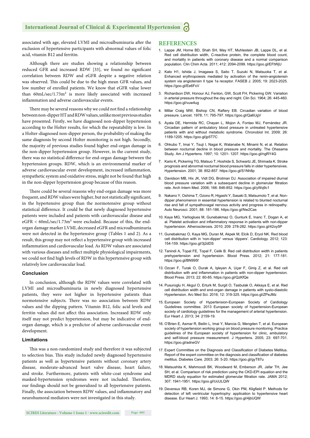associated with age, elevated LVMI and microalbuminuria after the exclusion of hypertensive participants with abnormal values of folic acid, vitamin B12 and ferritin.

Although there are studies showing a relationship between reduced GFR and increased RDW [33], we found no significant correlation between RDW and eGFR despite a negative relation was observed. This could be due to the high mean GFR values, and low number of enrolled patients. We know that eGFR value lower than 60mL/sec/1.73m² is more likely associated with increased inflammation and adverse cardiovascular events.

There may be several reasons why we could not find a relationship between non-dipper HT and RDW values, unlike most previous studies have presented. Firstly, we have diagnosed non-dipper hypertension according to the Holter results, for which the repeatability is low. In a Holter-diagnosed non-dipper person, the probability of making the same diagnosis by second Holter monitoring is not high. Secondly, the majority of previous studies found higher end-organ damage in the non-dipper hypertension group. However, in the current study, there was no statistical difference for end-organ damage between the hypertension groups. RDW, which is an environmental marker of adverse cardiovascular event development, increased inflammation, sympathetic system and oxidative stress, might not be found that high in the non-dipper hypertension group because of this reason.

There could be several reasons why end-organ damage was more frequent, and RDW values were higher, but not statistically significant, in the hypertensive group than the normotensive group without statistical difference. It could be that newly diagnosed hypertensive patients were included and patients with cardiovascular disease and eGFR < 60mL/sec/1.73m² were excluded. Because of this, the endorgan damage marker LVMI, decreased eGFR and microalbuminuria were not detected in the hypertensive group (Tables 1 and 2). As a result, this group may not reflect a hypertensive group with increased inflammation and cardiovascular load. As RDW values are associated with various diseases and reflect multiple physiological impairments, we could not find high levels of RDW in this hypertensive group with relatively low cardiovascular load.

#### **Conclusion**

In conclusion, although the RDW values were correlated with LVMI and microalbuminuria in newly diagnosed hypertensive patients, they were not higher in hypertensive patients than normotensive subjects. There was no association between RDW values and the dipping pattern. Vitamin B12, folic acid levels and ferritin values did not affect this association. Increased RDW only itself may not predict hypertension, but may be indicative of endorgan damage, which is a predictor of adverse cardiovascular event development.

#### **Limitations**

This was a non-randomized study and therefore it was subjected to selection bias. This study included newly diagnosed hypertensive patients as well as hypertensive patients without coronary artery disease, moderate-advanced heart valve disease, heart failure, and stroke. Furthermore, patients with white-coat syndrome and masked-hypertension syndromes were not included. Therefore, our findings should not be generalized to all hypertensive patients. Finally, the association between RDW values, and inflammatory and neurohumoral mediators were not investigated in this study.

#### **REFERENCES**

- 1. Lappe JM, Horne BD, Shah SH, May HT, Muhlestein JB, Lappe DL, et al. Red cell distribution width, C-reactive protein, the complete blood count, and mortality in patients with coronary disease and a normal comparison population. Clin Chim Acta. 2011; 412: 2094-2099. https://goo.gl/EFtWjU
- 2. Kato H1, Ishida J, Imagawa S, Saito T, Suzuki N, Matsuoka T, et al. Enhanced erythropoiesis mediated by activation of the renin-angiotensin system via angiotensin II type 1a receptor. FASEB J. 2005; 19: 2023-2025. https://goo.gl/Ee6FxV
- 3. Richardson DW, Honour AJ, Fenton, GW, Scott FH, Pickering GW. Variation in arterial pressure throughout the day and night. Clin Sci. 1964; 26: 445-460. https://goo.gl/vuw4ug
- 4. Millar Craig MW, Bishop CN, Raftery EB. Circadian variation of blood pressure. Lancet. 1978; 11: 795-797. https://goo.gl/Qa6UgV
- 5. Ayala DE, Hermida RC, Chayan L, Mojon A, Fontao MJ, Fernández JR. Circadian pattern of ambulatory blood pressure in untreated hypertensive patients with and without metabolic syndrome. Chronobiol Int. 2009; 26: 1189-1205. https://goo.gl/jp5T7C
- 6. Ohkubo T, Imai Y, Tsuji I, Nagai K, Watanabe N, Minami N, et al. Relation between nocturnal decline in blood pressure and mortality. The Ohasama Study. Am J Hypertens. 1997; 10: 1201- 1207. https://goo.gl/ngRY4G
- 7. Kario K, Pickering TG, Matsuo T, Hoshide S, Schwartz JE, Shimada K. Stroke prognosis and abnormal nocturnal blood pressure falls in older hypertensives. Hypertension. 2001; 38: 852-857. https://goo.gl/S1Nh8p
- 8. Davidson MB, Hix JK, Vidt DG, Brotman DJ. Association of impaired diurnal blood pressure variation with a subsequent decline in glomerular filtration rate. Arch Intern Med. 2006; 166: 846-852. https://goo.gl/yWq9c1
- 9. Nakano Y, Oshima T, Ozono R, Higashi Y, Sasaki S, Matsumoto T, et al. Nondipper phenomenon in essential hypertension is related to blunted nocturnal rise and fall of sympathovagal nervous activity and progress in retinopathy. Auto Neurosci. 2001; 88: 181-186. https://goo.gl/Nw2Cas
- 10. Kaya MG, Yarlioglues M, Gunebakmaz O, Gunturk E, Inanc T, Dogan A, et al. Platelet activation and inflammatory response in patients with non-dipper hypertension. Atherosclerosis. 2010; 209: 278-282. https://goo.gl/42oy5P
- 11. Gunebakmaz O, Kaya MG, Duran M, Akpek M, Elcik D, Eryol NK. Red blood cell distribution with in 'non-dipper' versus 'dippers'. Cardiology. 2012; 123: 154-159. https://goo.gl/3j2dDS
- 12. Tanindi A, Topal FE, Topal F, Celik B. Red cell distribution width in patients prehypertension and hypertension. Blood Press. 2012; 21: 177-181. https://goo.gl/BN995f
- 13. Ozcan F, Turak O, Durak A, Işleyen A, Uçar F, Giniş Z, et al. Red cell distribution with and inflammation in patients with non-dipper hypertension. Blood Press. 2013; 22: 80-85. https://goo.gl/QzKfQe
- 14. Pusuroglu H, Akgul O, Erturk M, Surgit O, Tasbulak O, Akkaya E, et al. Red cell distribution width and end-organ damage in patients with systo-diastolic Hypertension. Arc Med Sci. 2016; 12: 319-325. https://goo.gl/ZPeJMz
- 15. European Society of Hypertension-European Society of Cardiology Guidelines committee. 2013 European society of hypertension-European society of cardiology guidelines for the management of arterial hypertension. Eur Heart J. 2013; 34: 2159-19.
- 16. O'Brien E, Asmar R, Beilin L, Imai Y, Mancia G, Mengden T, et al. European society of hypertension working group on blood pressure monitoring. Practice guidelines of the European society of hypertension for clinic, ambulatory and self-blood pressure measurement. J Hypertens. 2005; 23: 697-701. https://goo.gl/adneGV
- 17. Expert Committee on the Diagnosis and Classification of Diabetes Mellitus. Report of the expert committee on the diagnosis and classification of diabetes mellitus. Diabetes Care. 2003; 26: 5-20. https://goo.gl/gyT87u
- 18. Matsushita K, Mahmoodi BK, Woodward M, Emberson JR, Jafar TH, Jee SH, et al. Comparison of risk prediction using the CKD-EPI equation and the MDRD study equation for estimated glomerular filtration rate. JAMA 2012; 307: 1941-1951. https://goo.gl/UcULQW
- 19. Devereux RB, Koren MJ, de Simone G, Okin PM, Kligfield P, Methods for detection of left ventricular hypertrophy: application to hypertensive heart disease. Eur Heart J. 1993; 14: 8-15. https://goo.gl/4jbUQW